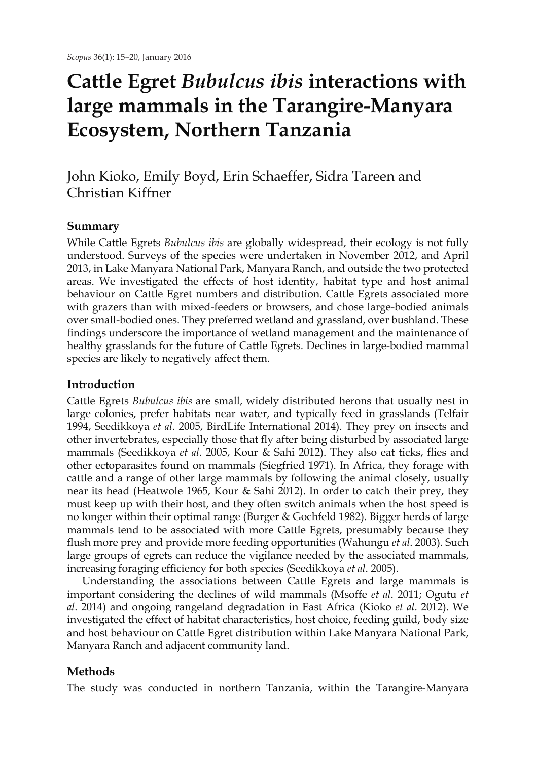# **Cattle Egret** *Bubulcus ibis* **interactions with large mammals in the Tarangire-Manyara Ecosystem, Northern Tanzania**

John Kioko, Emily Boyd, Erin Schaeffer, Sidra Tareen and Christian Kiffner

# **Summary**

While Cattle Egrets *Bubulcus ibis* are globally widespread, their ecology is not fully understood. Surveys of the species were undertaken in November 2012, and April 2013, in Lake Manyara National Park, Manyara Ranch, and outside the two protected areas. We investigated the effects of host identity, habitat type and host animal behaviour on Cattle Egret numbers and distribution. Cattle Egrets associated more with grazers than with mixed-feeders or browsers, and chose large-bodied animals over small-bodied ones. They preferred wetland and grassland, over bushland. These findings underscore the importance of wetland management and the maintenance of healthy grasslands for the future of Cattle Egrets. Declines in large-bodied mammal species are likely to negatively affect them.

# **Introduction**

Cattle Egrets *Bubulcus ibis* are small, widely distributed herons that usually nest in large colonies, prefer habitats near water, and typically feed in grasslands (Telfair 1994, Seedikkoya *et al*. 2005, BirdLife International 2014). They prey on insects and other invertebrates, especially those that fly after being disturbed by associated large mammals (Seedikkoya *et al*. 2005, Kour & Sahi 2012). They also eat ticks, flies and other ectoparasites found on mammals (Siegfried 1971). In Africa, they forage with cattle and a range of other large mammals by following the animal closely, usually near its head (Heatwole 1965, Kour & Sahi 2012). In order to catch their prey, they must keep up with their host, and they often switch animals when the host speed is no longer within their optimal range (Burger & Gochfeld 1982). Bigger herds of large mammals tend to be associated with more Cattle Egrets, presumably because they flush more prey and provide more feeding opportunities (Wahungu *et al*. 2003). Such large groups of egrets can reduce the vigilance needed by the associated mammals, increasing foraging efficiency for both species (Seedikkoya *et al*. 2005).

Understanding the associations between Cattle Egrets and large mammals is important considering the declines of wild mammals (Msoffe *et al*. 2011; Ogutu *et al*. 2014) and ongoing rangeland degradation in East Africa (Kioko *et al*. 2012). We investigated the effect of habitat characteristics, host choice, feeding guild, body size and host behaviour on Cattle Egret distribution within Lake Manyara National Park, Manyara Ranch and adjacent community land.

# **Methods**

The study was conducted in northern Tanzania, within the Tarangire-Manyara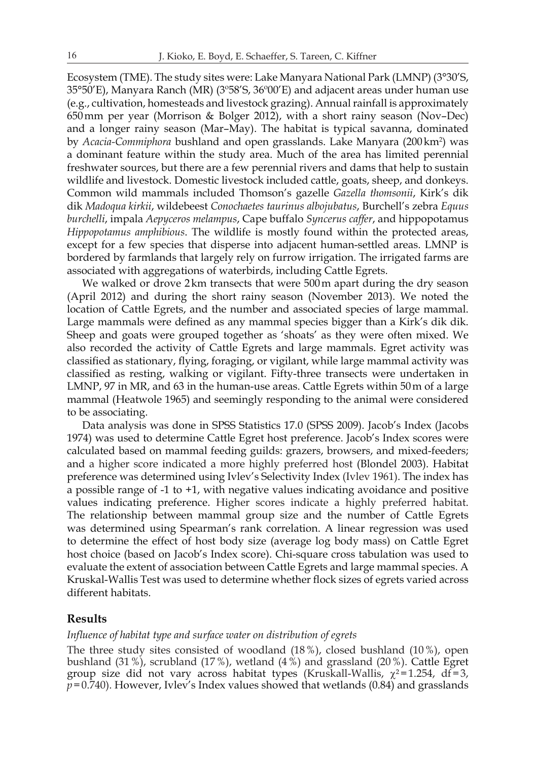Ecosystem (TME). The study sites were: Lake Manyara National Park (LMNP) (3°30'S, 35°50'E), Manyara Ranch (MR) (3º58'S, 36º00'E) and adjacent areas under human use (e.g., cultivation, homesteads and livestock grazing). Annual rainfall is approximately 650mm per year (Morrison & Bolger 2012), with a short rainy season (Nov–Dec) and a longer rainy season (Mar–May). The habitat is typical savanna, dominated by *Acacia-Commiphora* bushland and open grasslands. Lake Manyara (200 km<sup>2</sup>) was a dominant feature within the study area. Much of the area has limited perennial freshwater sources, but there are a few perennial rivers and dams that help to sustain wildlife and livestock. Domestic livestock included cattle, goats, sheep, and donkeys. Common wild mammals included Thomson's gazelle *Gazella thomsonii*, Kirk's dik dik *Madoqua kirkii*, wildebeest *Conochaetes taurinus albojubatus*, Burchell's zebra *Equus burchelli*, impala *Aepyceros melampus*, Cape buffalo *Syncerus caffer*, and hippopotamus *Hippopotamus amphibious*. The wildlife is mostly found within the protected areas, except for a few species that disperse into adjacent human-settled areas. LMNP is bordered by farmlands that largely rely on furrow irrigation. The irrigated farms are associated with aggregations of waterbirds, including Cattle Egrets.

We walked or drove 2km transects that were 500m apart during the dry season (April 2012) and during the short rainy season (November 2013). We noted the location of Cattle Egrets, and the number and associated species of large mammal. Large mammals were defined as any mammal species bigger than a Kirk's dik dik. Sheep and goats were grouped together as 'shoats' as they were often mixed. We also recorded the activity of Cattle Egrets and large mammals. Egret activity was classified as stationary, flying, foraging, or vigilant, while large mammal activity was classified as resting, walking or vigilant. Fifty-three transects were undertaken in LMNP, 97 in MR, and 63 in the human-use areas. Cattle Egrets within 50m of a large mammal (Heatwole 1965) and seemingly responding to the animal were considered to be associating.

Data analysis was done in SPSS Statistics 17.0 (SPSS 2009). Jacob's Index (Jacobs 1974) was used to determine Cattle Egret host preference. Jacob's Index scores were calculated based on mammal feeding guilds: grazers, browsers, and mixed-feeders; and a higher score indicated a more highly preferred host (Blondel 2003). Habitat preference was determined using Ivlev's Selectivity Index (Ivlev 1961). The index has a possible range of -1 to +1, with negative values indicating avoidance and positive values indicating preference. Higher scores indicate a highly preferred habitat. The relationship between mammal group size and the number of Cattle Egrets was determined using Spearman's rank correlation. A linear regression was used to determine the effect of host body size (average log body mass) on Cattle Egret host choice (based on Jacob's Index score). Chi-square cross tabulation was used to evaluate the extent of association between Cattle Egrets and large mammal species. A Kruskal-Wallis Test was used to determine whether flock sizes of egrets varied across different habitats.

# **Results**

# *Influence of habitat type and surface water on distribution of egrets*

The three study sites consisted of woodland (18%), closed bushland (10%), open bushland (31%), scrubland (17%), wetland (4%) and grassland (20%). Cattle Egret group size did not vary across habitat types (Kruskall-Wallis,  $\chi^2$ =1.254, df=3,  $p = 0.740$ ). However, Ivlev's Index values showed that wetlands (0.84) and grasslands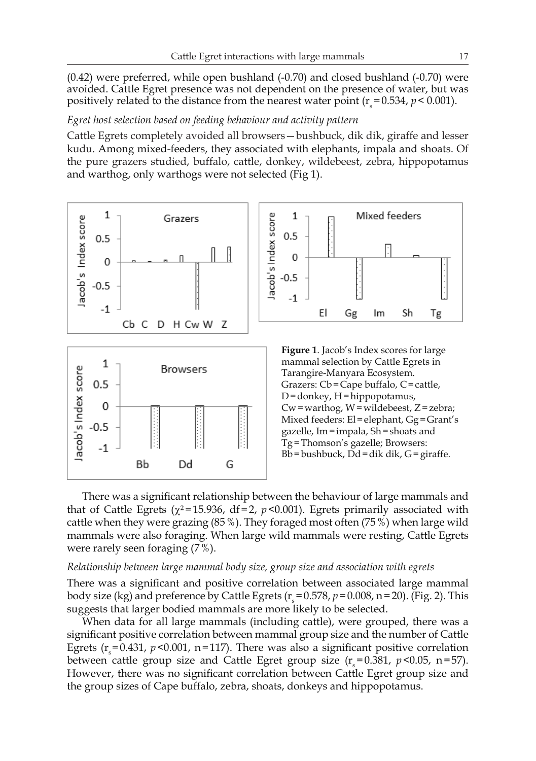(0.42) were preferred, while open bushland (-0.70) and closed bushland (-0.70) were avoided. Cattle Egret presence was not dependent on the presence of water, but was positively related to the distance from the nearest water point  $(r_s=0.534, p < 0.001)$ .

### *Egret host selection based on feeding behaviour and activity pattern*

Cattle Egrets completely avoided all browsers—bushbuck, dik dik, giraffe and lesser kudu. Among mixed-feeders, they associated with elephants, impala and shoats. Of the pure grazers studied, buffalo, cattle, donkey, wildebeest, zebra, hippopotamus and warthog, only warthogs were not selected (Fig 1).



There was a significant relationship between the behaviour of large mammals and that of Cattle Egrets ( $\chi^2$ =15.936, df = 2, *p* < 0.001). Egrets primarily associated with cattle when they were grazing (85%). They foraged most often (75%) when large wild mammals were also foraging. When large wild mammals were resting, Cattle Egrets were rarely seen foraging (7%).

#### *Relationship between large mammal body size, group size and association with egrets*

There was a significant and positive correlation between associated large mammal body size (kg) and preference by Cattle Egrets ( $r_s$  = 0.578,  $p$  = 0.008, n = 20). (Fig. 2). This suggests that larger bodied mammals are more likely to be selected.

When data for all large mammals (including cattle), were grouped, there was a significant positive correlation between mammal group size and the number of Cattle Egrets ( $r_s$ =0.431,  $p$ <0.001, n=117). There was also a significant positive correlation between cattle group size and Cattle Egret group size  $(r_s=0.381, p<0.05, n=57)$ . However, there was no significant correlation between Cattle Egret group size and the group sizes of Cape buffalo, zebra, shoats, donkeys and hippopotamus.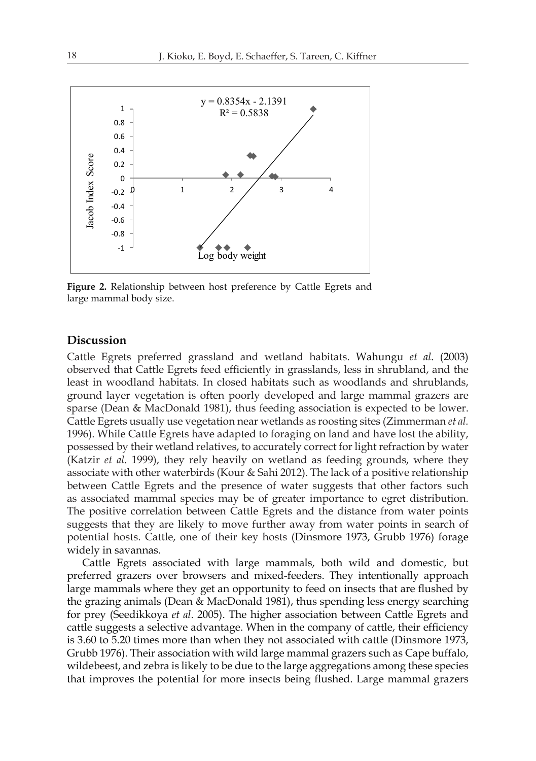

**Figure 2.** Relationship between host preference by Cattle Egrets and large mammal body size.

# **Discussion**

Cattle Egrets preferred grassland and wetland habitats. Wahungu *et al*. (2003) observed that Cattle Egrets feed efficiently in grasslands, less in shrubland, and the least in woodland habitats. In closed habitats such as woodlands and shrublands, ground layer vegetation is often poorly developed and large mammal grazers are sparse (Dean & MacDonald 1981), thus feeding association is expected to be lower. Cattle Egrets usually use vegetation near wetlands as roosting sites (Zimmerman *et al.* 1996). While Cattle Egrets have adapted to foraging on land and have lost the ability, possessed by their wetland relatives, to accurately correct for light refraction by water (Katzir *et al.* 1999), they rely heavily on wetland as feeding grounds, where they associate with other waterbirds (Kour & Sahi 2012). The lack of a positive relationship between Cattle Egrets and the presence of water suggests that other factors such as associated mammal species may be of greater importance to egret distribution. The positive correlation between Cattle Egrets and the distance from water points suggests that they are likely to move further away from water points in search of potential hosts. Cattle, one of their key hosts (Dinsmore 1973, Grubb 1976) forage widely in savannas.

Cattle Egrets associated with large mammals, both wild and domestic, but preferred grazers over browsers and mixed-feeders. They intentionally approach large mammals where they get an opportunity to feed on insects that are flushed by the grazing animals (Dean & MacDonald 1981), thus spending less energy searching for prey (Seedikkoya *et al*. 2005). The higher association between Cattle Egrets and cattle suggests a selective advantage. When in the company of cattle, their efficiency is 3.60 to 5.20 times more than when they not associated with cattle (Dinsmore 1973, Grubb 1976). Their association with wild large mammal grazers such as Cape buffalo, wildebeest, and zebra is likely to be due to the large aggregations among these species that improves the potential for more insects being flushed. Large mammal grazers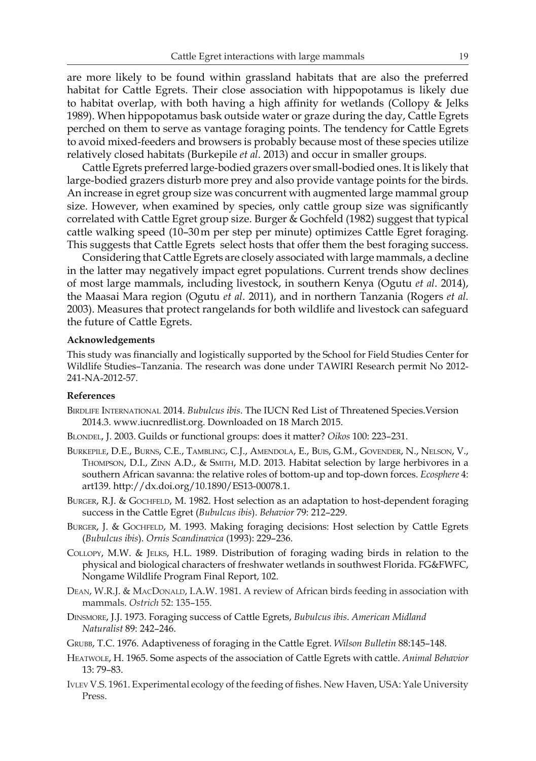are more likely to be found within grassland habitats that are also the preferred habitat for Cattle Egrets. Their close association with hippopotamus is likely due to habitat overlap, with both having a high affinity for wetlands (Collopy  $\&$  Jelks 1989). When hippopotamus bask outside water or graze during the day, Cattle Egrets perched on them to serve as vantage foraging points. The tendency for Cattle Egrets to avoid mixed-feeders and browsers is probably because most of these species utilize relatively closed habitats (Burkepile *et al*. 2013) and occur in smaller groups.

Cattle Egrets preferred large-bodied grazers over small-bodied ones. It is likely that large-bodied grazers disturb more prey and also provide vantage points for the birds. An increase in egret group size was concurrent with augmented large mammal group size. However, when examined by species, only cattle group size was significantly correlated with Cattle Egret group size. Burger & Gochfeld (1982) suggest that typical cattle walking speed (10–30m per step per minute) optimizes Cattle Egret foraging. This suggests that Cattle Egrets select hosts that offer them the best foraging success.

Considering that Cattle Egrets are closely associated with large mammals, a decline in the latter may negatively impact egret populations. Current trends show declines of most large mammals, including livestock, in southern Kenya (Ogutu *et al*. 2014), the Maasai Mara region (Ogutu *et al*. 2011), and in northern Tanzania (Rogers *et al.*  2003). Measures that protect rangelands for both wildlife and livestock can safeguard the future of Cattle Egrets.

### **Acknowledgements**

This study was financially and logistically supported by the School for Field Studies Center for Wildlife Studies–Tanzania. The research was done under TAWIRI Research permit No 2012- 241-NA-2012-57.

## **References**

- Birdlife International 2014. *Bubulcus ibis*. The IUCN Red List of Threatened Species.Version 2014.3. www.iucnredlist.org. Downloaded on 18 March 2015.
- Blondel, J. 2003. Guilds or functional groups: does it matter? *Oikos* 100: 223–231.
- Burkepile, D.E., Burns, C.E., Tambling, C.J., Amendola, E., Buis, G.M., Govender, N., Nelson, V., Thompson, D.I., Zinn A.D., & Smith, M.D. 2013. Habitat selection by large herbivores in a southern African savanna: the relative roles of bottom-up and top-down forces. *Ecosphere* 4: art139. http://dx.doi.org/10.1890/ES13-00078.1.
- BURGER, R.J. & GOCHFELD, M. 1982. Host selection as an adaptation to host-dependent foraging success in the Cattle Egret (*Bubulcus ibis*). *Behavior* 79: 212–229.
- BURGER, J. & GOCHFELD, M. 1993. Making foraging decisions: Host selection by Cattle Egrets (*Bubulcus ibis*). *Ornis Scandinavica* (1993): 229–236.
- Collopy, M.W. & Jelks, H.L. 1989. Distribution of foraging wading birds in relation to the physical and biological characters of freshwater wetlands in southwest Florida. FG&FWFC, Nongame Wildlife Program Final Report, 102.
- DEAN, W.R.J. & MACDONALD, I.A.W. 1981. A review of African birds feeding in association with mammals. *Ostrich* 52: 135–155.
- Dinsmore, J.J. 1973. Foraging success of Cattle Egrets, *Bubulcus ibis*. *American Midland Naturalist* 89: 242–246.
- Grubb, T.C. 1976. Adaptiveness of foraging in the Cattle Egret. *Wilson Bulletin* 88:145–148.
- Heatwole, H. 1965. Some aspects of the association of Cattle Egrets with cattle. *Animal Behavior* 13: 79–83.
- Ivlev V.S. 1961. Experimental ecology of the feeding of fishes. New Haven, USA: Yale University Press.